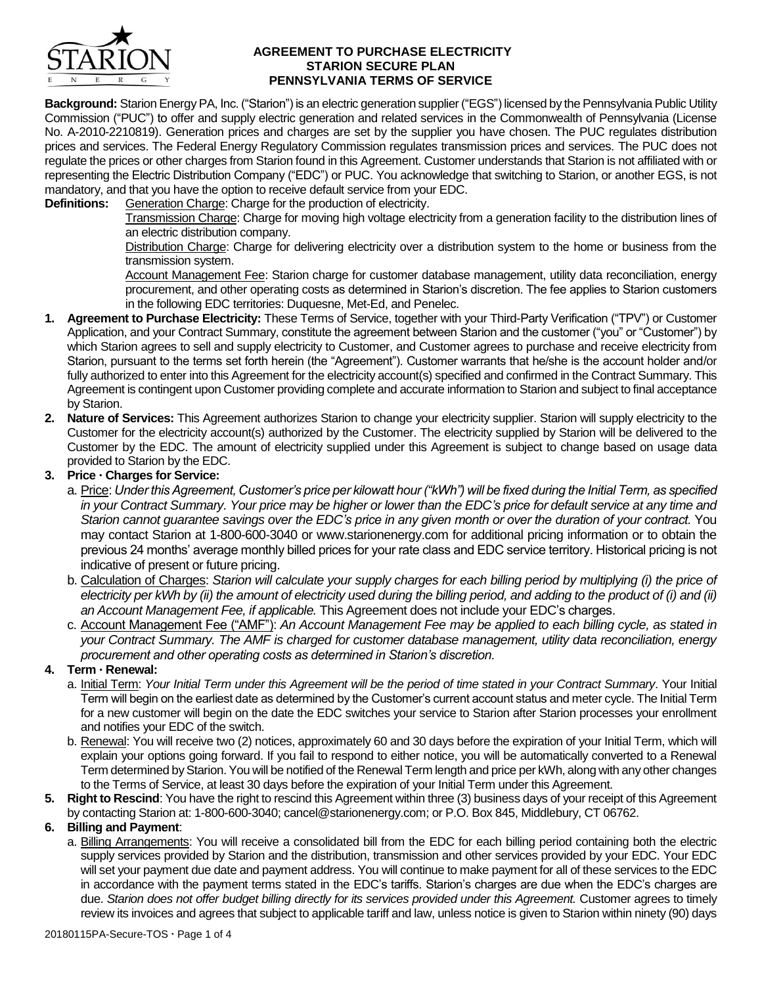

#### **AGREEMENT TO PURCHASE ELECTRICITY STARION SECURE PLAN PENNSYLVANIA TERMS OF SERVICE**

**Background:** Starion EnergyPA, Inc. ("Starion") is an electric generation supplier ("EGS") licensed by the Pennsylvania Public Utility Commission ("PUC") to offer and supply electric generation and related services in the Commonwealth of Pennsylvania (License No. A-2010-2210819). Generation prices and charges are set by the supplier you have chosen. The PUC regulates distribution prices and services. The Federal Energy Regulatory Commission regulates transmission prices and services. The PUC does not regulate the prices or other charges from Starion found in this Agreement. Customer understands that Starion is not affiliated with or representing the Electric Distribution Company ("EDC") or PUC. You acknowledge that switching to Starion, or another EGS, is not mandatory, and that you have the option to receive default service from your EDC.

**Definitions:** Generation Charge: Charge for the production of electricity.

Transmission Charge: Charge for moving high voltage electricity from a generation facility to the distribution lines of an electric distribution company.

Distribution Charge: Charge for delivering electricity over a distribution system to the home or business from the transmission system.

Account Management Fee: Starion charge for customer database management, utility data reconciliation, energy procurement, and other operating costs as determined in Starion's discretion. The fee applies to Starion customers in the following EDC territories: Duquesne, Met-Ed, and Penelec.

- **1. Agreement to Purchase Electricity:** These Terms of Service, together with your Third-Party Verification ("TPV") or Customer Application, and your Contract Summary, constitute the agreement between Starion and the customer ("you" or "Customer") by which Starion agrees to sell and supply electricity to Customer, and Customer agrees to purchase and receive electricity from Starion, pursuant to the terms set forth herein (the "Agreement"). Customer warrants that he/she is the account holder and/or fully authorized to enter into this Agreement for the electricity account(s) specified and confirmed in the Contract Summary. This Agreement is contingent upon Customer providing complete and accurate information to Starion and subject to final acceptance by Starion.
- **2. Nature of Services:** This Agreement authorizes Starion to change your electricity supplier. Starion will supply electricity to the Customer for the electricity account(s) authorized by the Customer. The electricity supplied by Starion will be delivered to the Customer by the EDC. The amount of electricity supplied under this Agreement is subject to change based on usage data provided to Starion by the EDC.

# **3. Price Charges for Service:**

- a. Price: *Under this Agreement, Customer's price per kilowatt hour ("kWh") will be fixed during the Initial Term, as specified in your Contract Summary. Your price may be higher or lower than the EDC's price for default service at any time and Starion cannot guarantee savings over the EDC's price in any given month or over the duration of your contract.* You may contact Starion at 1-800-600-3040 or www.starionenergy.com for additional pricing information or to obtain the previous 24 months' average monthly billed prices for your rate class and EDC service territory. Historical pricing is not indicative of present or future pricing.
- b. Calculation of Charges: *Starion will calculate your supply charges for each billing period by multiplying (i) the price of electricity per kWh by (ii) the amount of electricity used during the billing period, and adding to the product of (i) and (ii) an Account Management Fee, if applicable.* This Agreement does not include your EDC's charges.
- c. Account Management Fee ("AMF"): *An Account Management Fee may be applied to each billing cycle, as stated in your Contract Summary. The AMF is charged for customer database management, utility data reconciliation, energy procurement and other operating costs as determined in Starion's discretion.*

## **4. Term Renewal:**

- a. Initial Term: *Your Initial Term under this Agreement will be the period of time stated in your Contract Summary*. Your Initial Term will begin on the earliest date as determined by the Customer's current account status and meter cycle. The Initial Term for a new customer will begin on the date the EDC switches your service to Starion after Starion processes your enrollment and notifies your EDC of the switch.
- b. Renewal: You will receive two (2) notices, approximately 60 and 30 days before the expiration of your Initial Term, which will explain your options going forward. If you fail to respond to either notice, you will be automatically converted to a Renewal Term determined by Starion. You will be notified of the Renewal Term length and price per kWh, along with any other changes to the Terms of Service, at least 30 days before the expiration of your Initial Term under this Agreement.
- **5. Right to Rescind**: You have the right to rescind this Agreement within three (3) business days of your receipt of this Agreement by contacting Starion at: 1-800-600-3040; cancel@starionenergy.com; or P.O. Box 845, Middlebury, CT 06762.

## **6. Billing and Payment**:

a. Billing Arrangements: You will receive a consolidated bill from the EDC for each billing period containing both the electric supply services provided by Starion and the distribution, transmission and other services provided by your EDC. Your EDC will set your payment due date and payment address. You will continue to make payment for all of these services to the EDC in accordance with the payment terms stated in the EDC's tariffs. Starion's charges are due when the EDC's charges are due. *Starion does not offer budget billing directly for its services provided under this Agreement.* Customer agrees to timely review its invoices and agrees that subject to applicable tariff and law, unless notice is given to Starion within ninety (90) days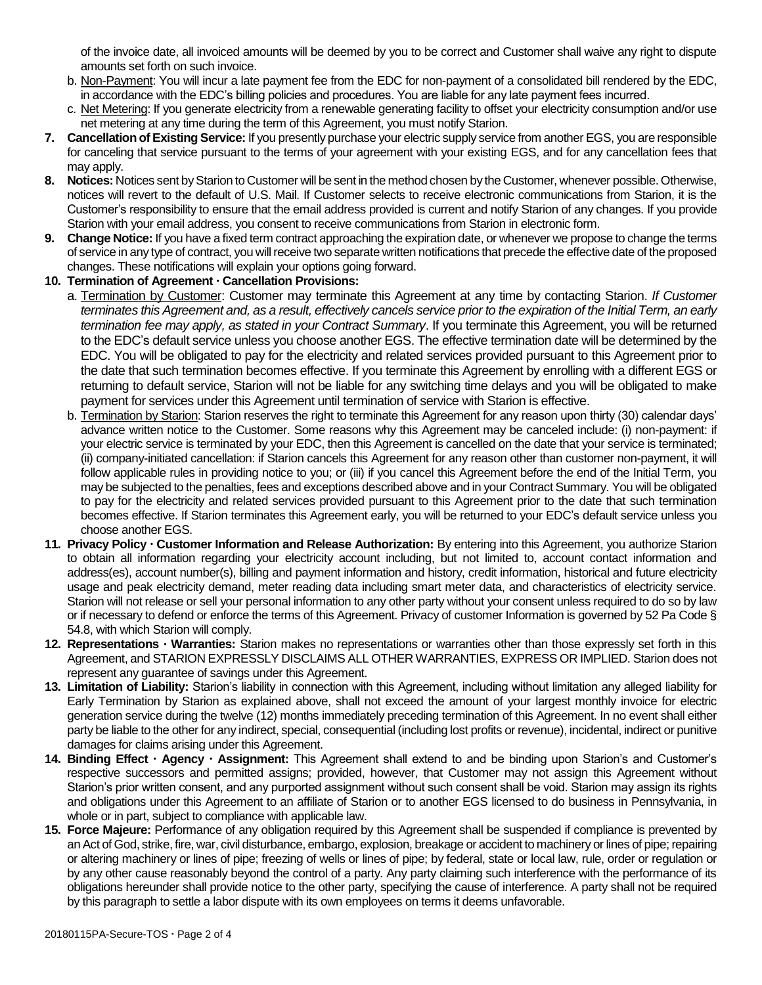of the invoice date, all invoiced amounts will be deemed by you to be correct and Customer shall waive any right to dispute amounts set forth on such invoice.

- b. Non-Payment: You will incur a late payment fee from the EDC for non-payment of a consolidated bill rendered by the EDC, in accordance with the EDC's billing policies and procedures. You are liable for any late payment fees incurred.
- c. Net Metering: If you generate electricity from a renewable generating facility to offset your electricity consumption and/or use net metering at any time during the term of this Agreement, you must notify Starion.
- **7. Cancellation of Existing Service:** If you presently purchase your electric supply service from another EGS, you are responsible for canceling that service pursuant to the terms of your agreement with your existing EGS, and for any cancellation fees that may apply.
- **8. Notices:** Notices sent by Starion to Customer will be sent in the method chosen by the Customer, whenever possible. Otherwise, notices will revert to the default of U.S. Mail. If Customer selects to receive electronic communications from Starion, it is the Customer's responsibility to ensure that the email address provided is current and notify Starion of any changes. If you provide Starion with your email address, you consent to receive communications from Starion in electronic form.
- **9. Change Notice:** If you have a fixed term contract approaching the expiration date, or whenever we propose to change the terms of service in any type of contract, you will receive two separate written notifications that precede the effective date of the proposed changes. These notifications will explain your options going forward.

# **10. Termination of Agreement Cancellation Provisions:**

- a. Termination by Customer: Customer may terminate this Agreement at any time by contacting Starion. *If Customer terminates this Agreement and, as a result, effectively cancels service prior to the expiration of the Initial Term, an early termination fee may apply, as stated in your Contract Summary*. If you terminate this Agreement, you will be returned to the EDC's default service unless you choose another EGS. The effective termination date will be determined by the EDC. You will be obligated to pay for the electricity and related services provided pursuant to this Agreement prior to the date that such termination becomes effective. If you terminate this Agreement by enrolling with a different EGS or returning to default service, Starion will not be liable for any switching time delays and you will be obligated to make payment for services under this Agreement until termination of service with Starion is effective.
- b. Termination by Starion: Starion reserves the right to terminate this Agreement for any reason upon thirty (30) calendar days' advance written notice to the Customer. Some reasons why this Agreement may be canceled include: (i) non-payment: if your electric service is terminated by your EDC, then this Agreement is cancelled on the date that your service is terminated; (ii) company-initiated cancellation: if Starion cancels this Agreement for any reason other than customer non-payment, it will follow applicable rules in providing notice to you; or (iii) if you cancel this Agreement before the end of the Initial Term, you may be subjected to the penalties, fees and exceptions described above and in your Contract Summary. You will be obligated to pay for the electricity and related services provided pursuant to this Agreement prior to the date that such termination becomes effective. If Starion terminates this Agreement early, you will be returned to your EDC's default service unless you choose another EGS.
- **11. Privacy Policy Customer Information and Release Authorization:** By entering into this Agreement, you authorize Starion to obtain all information regarding your electricity account including, but not limited to, account contact information and address(es), account number(s), billing and payment information and history, credit information, historical and future electricity usage and peak electricity demand, meter reading data including smart meter data, and characteristics of electricity service. Starion will not release or sell your personal information to any other party without your consent unless required to do so by law or if necessary to defend or enforce the terms of this Agreement. Privacy of customer Information is governed by 52 Pa Code § 54.8, with which Starion will comply.
- **12. Representations Warranties:** Starion makes no representations or warranties other than those expressly set forth in this Agreement, and STARION EXPRESSLY DISCLAIMS ALL OTHER WARRANTIES, EXPRESS OR IMPLIED. Starion does not represent any guarantee of savings under this Agreement.
- **13. Limitation of Liability:** Starion's liability in connection with this Agreement, including without limitation any alleged liability for Early Termination by Starion as explained above, shall not exceed the amount of your largest monthly invoice for electric generation service during the twelve (12) months immediately preceding termination of this Agreement. In no event shall either party be liable to the other for any indirect, special, consequential (including lost profits or revenue), incidental, indirect or punitive damages for claims arising under this Agreement.
- **14. Binding Effect Agency Assignment:** This Agreement shall extend to and be binding upon Starion's and Customer's respective successors and permitted assigns; provided, however, that Customer may not assign this Agreement without Starion's prior written consent, and any purported assignment without such consent shall be void. Starion may assign its rights and obligations under this Agreement to an affiliate of Starion or to another EGS licensed to do business in Pennsylvania, in whole or in part, subject to compliance with applicable law.
- **15. Force Majeure:** Performance of any obligation required by this Agreement shall be suspended if compliance is prevented by an Act of God, strike, fire, war, civil disturbance, embargo, explosion, breakage or accident to machinery or lines of pipe; repairing or altering machinery or lines of pipe; freezing of wells or lines of pipe; by federal, state or local law, rule, order or regulation or by any other cause reasonably beyond the control of a party. Any party claiming such interference with the performance of its obligations hereunder shall provide notice to the other party, specifying the cause of interference. A party shall not be required by this paragraph to settle a labor dispute with its own employees on terms it deems unfavorable.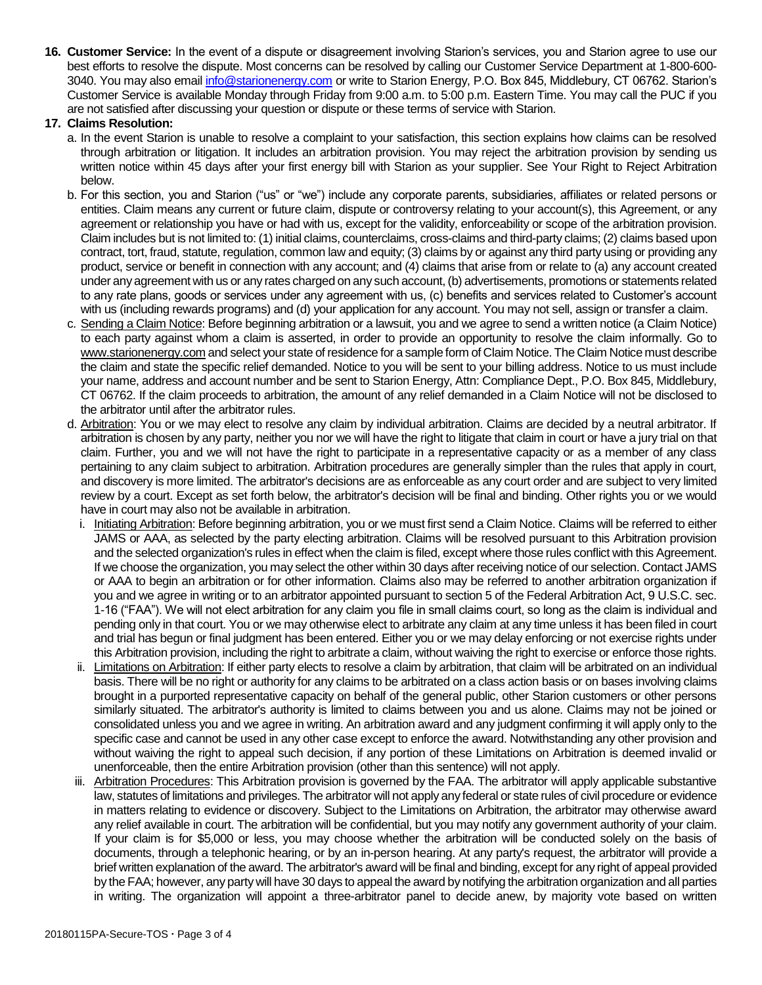**16. Customer Service:** In the event of a dispute or disagreement involving Starion's services, you and Starion agree to use our best efforts to resolve the dispute. Most concerns can be resolved by calling our Customer Service Department at 1-800-600 3040. You may also email [info@starionenergy.com](mailto:info@starionenergy.com) or write to Starion Energy, P.O. Box 845, Middlebury, CT 06762. Starion's Customer Service is available Monday through Friday from 9:00 a.m. to 5:00 p.m. Eastern Time. You may call the PUC if you are not satisfied after discussing your question or dispute or these terms of service with Starion.

### **17. Claims Resolution:**

- a. In the event Starion is unable to resolve a complaint to your satisfaction, this section explains how claims can be resolved through arbitration or litigation. It includes an arbitration provision. You may reject the arbitration provision by sending us written notice within 45 days after your first energy bill with Starion as your supplier. See Your Right to Reject Arbitration below.
- b. For this section, you and Starion ("us" or "we") include any corporate parents, subsidiaries, affiliates or related persons or entities. Claim means any current or future claim, dispute or controversy relating to your account(s), this Agreement, or any agreement or relationship you have or had with us, except for the validity, enforceability or scope of the arbitration provision. Claim includes but is not limited to: (1) initial claims, counterclaims, cross-claims and third-party claims; (2) claims based upon contract, tort, fraud, statute, regulation, common law and equity; (3) claims by or against any third party using or providing any product, service or benefit in connection with any account; and (4) claims that arise from or relate to (a) any account created under any agreement with us or any rates charged on any such account, (b) advertisements, promotions or statements related to any rate plans, goods or services under any agreement with us, (c) benefits and services related to Customer's account with us (including rewards programs) and (d) your application for any account. You may not sell, assign or transfer a claim.
- c. Sending a Claim Notice: Before beginning arbitration or a lawsuit, you and we agree to send a written notice (a Claim Notice) to each party against whom a claim is asserted, in order to provide an opportunity to resolve the claim informally. Go to www.starionenergy.com and select your state of residence for a sample form of Claim Notice. The Claim Notice must describe the claim and state the specific relief demanded. Notice to you will be sent to your billing address. Notice to us must include your name, address and account number and be sent to Starion Energy, Attn: Compliance Dept., P.O. Box 845, Middlebury, CT 06762. If the claim proceeds to arbitration, the amount of any relief demanded in a Claim Notice will not be disclosed to the arbitrator until after the arbitrator rules.
- d. Arbitration: You or we may elect to resolve any claim by individual arbitration. Claims are decided by a neutral arbitrator. If arbitration is chosen by any party, neither you nor we will have the right to litigate that claim in court or have a jury trial on that claim. Further, you and we will not have the right to participate in a representative capacity or as a member of any class pertaining to any claim subject to arbitration. Arbitration procedures are generally simpler than the rules that apply in court, and discovery is more limited. The arbitrator's decisions are as enforceable as any court order and are subject to very limited review by a court. Except as set forth below, the arbitrator's decision will be final and binding. Other rights you or we would have in court may also not be available in arbitration.
	- i. Initiating Arbitration: Before beginning arbitration, you or we must first send a Claim Notice. Claims will be referred to either JAMS or AAA, as selected by the party electing arbitration. Claims will be resolved pursuant to this Arbitration provision and the selected organization's rules in effect when the claim is filed, except where those rules conflict with this Agreement. If we choose the organization, you may select the other within 30 days after receiving notice of our selection. Contact JAMS or AAA to begin an arbitration or for other information. Claims also may be referred to another arbitration organization if you and we agree in writing or to an arbitrator appointed pursuant to section 5 of the Federal Arbitration Act, 9 U.S.C. sec. 1-16 ("FAA"). We will not elect arbitration for any claim you file in small claims court, so long as the claim is individual and pending only in that court. You or we may otherwise elect to arbitrate any claim at any time unless it has been filed in court and trial has begun or final judgment has been entered. Either you or we may delay enforcing or not exercise rights under this Arbitration provision, including the right to arbitrate a claim, without waiving the right to exercise or enforce those rights.
	- ii. Limitations on Arbitration: If either party elects to resolve a claim by arbitration, that claim will be arbitrated on an individual basis. There will be no right or authority for any claims to be arbitrated on a class action basis or on bases involving claims brought in a purported representative capacity on behalf of the general public, other Starion customers or other persons similarly situated. The arbitrator's authority is limited to claims between you and us alone. Claims may not be joined or consolidated unless you and we agree in writing. An arbitration award and any judgment confirming it will apply only to the specific case and cannot be used in any other case except to enforce the award. Notwithstanding any other provision and without waiving the right to appeal such decision, if any portion of these Limitations on Arbitration is deemed invalid or unenforceable, then the entire Arbitration provision (other than this sentence) will not apply.
- iii. Arbitration Procedures: This Arbitration provision is governed by the FAA. The arbitrator will apply applicable substantive law, statutes of limitations and privileges. The arbitrator will not apply any federal or state rules of civil procedure or evidence in matters relating to evidence or discovery. Subject to the Limitations on Arbitration, the arbitrator may otherwise award any relief available in court. The arbitration will be confidential, but you may notify any government authority of your claim. If your claim is for \$5,000 or less, you may choose whether the arbitration will be conducted solely on the basis of documents, through a telephonic hearing, or by an in-person hearing. At any party's request, the arbitrator will provide a brief written explanation of the award. The arbitrator's award will be final and binding, except for any right of appeal provided by the FAA; however, any party will have 30 days to appeal the award by notifying the arbitration organization and all parties in writing. The organization will appoint a three-arbitrator panel to decide anew, by majority vote based on written